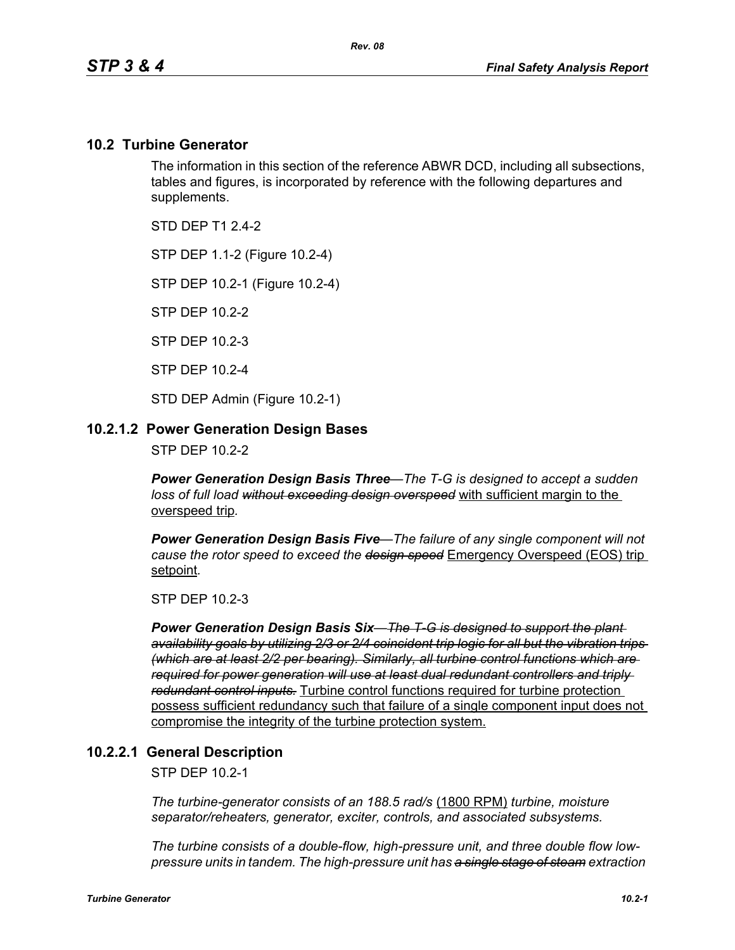#### **10.2 Turbine Generator**

The information in this section of the reference ABWR DCD, including all subsections, tables and figures, is incorporated by reference with the following departures and supplements.

STD DFP T1 2 4-2

STP DEP 1.1-2 (Figure 10.2-4)

STP DEP 10.2-1 (Figure 10.2-4)

STP DEP 10.2-2

STP DEP 10.2-3

STP DEP 10.2-4

STD DEP Admin (Figure 10.2-1)

#### **10.2.1.2 Power Generation Design Bases**

STP DEP 10.2-2

*Power Generation Design Basis Three—The T-G is designed to accept a sudden loss of full load without exceeding design overspeed* with sufficient margin to the overspeed trip*.* 

*Power Generation Design Basis Five—The failure of any single component will not cause the rotor speed to exceed the design speed* Emergency Overspeed (EOS) trip setpoint*.* 

STP DEP 10.2-3

*Power Generation Design Basis Six—The T-G is designed to support the plant availability goals by utilizing 2/3 or 2/4 coincident trip logic for all but the vibration trips (which are at least 2/2 per bearing). Similarly, all turbine control functions which are required for power generation will use at least dual redundant controllers and triply redundant control inputs.* Turbine control functions required for turbine protection possess sufficient redundancy such that failure of a single component input does not compromise the integrity of the turbine protection system.

#### **10.2.2.1 General Description**

STP DEP 10.2-1

*The turbine-generator consists of an 188.5 rad/s* (1800 RPM) *turbine, moisture separator/reheaters, generator, exciter, controls, and associated subsystems.*

*The turbine consists of a double-flow, high-pressure unit, and three double flow lowpressure units in tandem. The high-pressure unit has a single stage of steam extraction*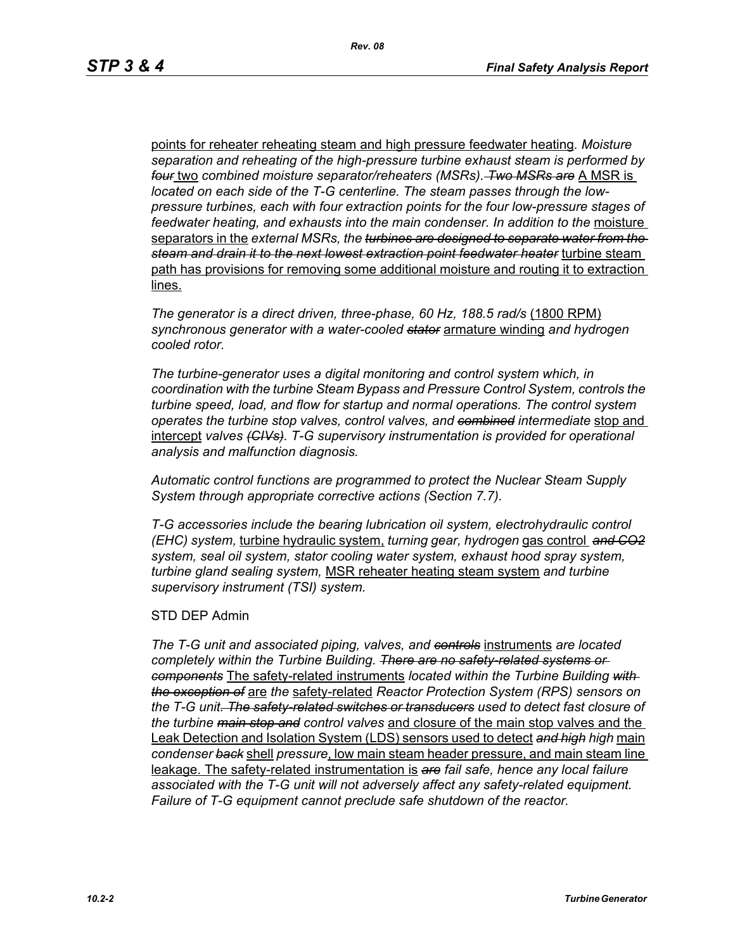points for reheater reheating steam and high pressure feedwater heating*. Moisture separation and reheating of the high-pressure turbine exhaust steam is performed by four* two *combined moisture separator/reheaters (MSRs). Two MSRs are* A MSR is *located on each side of the T-G centerline. The steam passes through the lowpressure turbines, each with four extraction points for the four low-pressure stages of*  feedwater heating, and exhausts into the main condenser. In addition to the moisture separators in the *external MSRs, the turbines are designed to separate water from the steam and drain it to the next lowest extraction point feedwater heater* turbine steam path has provisions for removing some additional moisture and routing it to extraction lines.

*The generator is a direct driven, three-phase, 60 Hz, 188.5 rad/s* (1800 RPM) *synchronous generator with a water-cooled stator* armature winding *and hydrogen cooled rotor.*

*The turbine-generator uses a digital monitoring and control system which, in coordination with the turbine Steam Bypass and Pressure Control System, controls the turbine speed, load, and flow for startup and normal operations. The control system operates the turbine stop valves, control valves, and combined intermediate* stop and intercept *valves (CIVs). T-G supervisory instrumentation is provided for operational analysis and malfunction diagnosis.*

*Automatic control functions are programmed to protect the Nuclear Steam Supply System through appropriate corrective actions (Section 7.7).*

*T-G accessories include the bearing lubrication oil system, electrohydraulic control (EHC) system,* turbine hydraulic system, *turning gear, hydrogen* gas control *and CO2 system, seal oil system, stator cooling water system, exhaust hood spray system, turbine gland sealing system,* MSR reheater heating steam system *and turbine supervisory instrument (TSI) system.*

#### STD DEP Admin

*The T-G unit and associated piping, valves, and controls* instruments *are located completely within the Turbine Building. There are no safety-related systems or components* The safety-related instruments *located within the Turbine Building with the exception of* are *the* safety-related *Reactor Protection System (RPS) sensors on the T-G unit. The safety-related switches or transducers used to detect fast closure of the turbine main stop and control valves* and closure of the main stop valves and the Leak Detection and Isolation System (LDS) sensors used to detect *and high high* main *condenser back* shell *pressure*, low main steam header pressure, and main steam line leakage. The safety-related instrumentation is *are fail safe, hence any local failure associated with the T-G unit will not adversely affect any safety-related equipment. Failure of T-G equipment cannot preclude safe shutdown of the reactor.*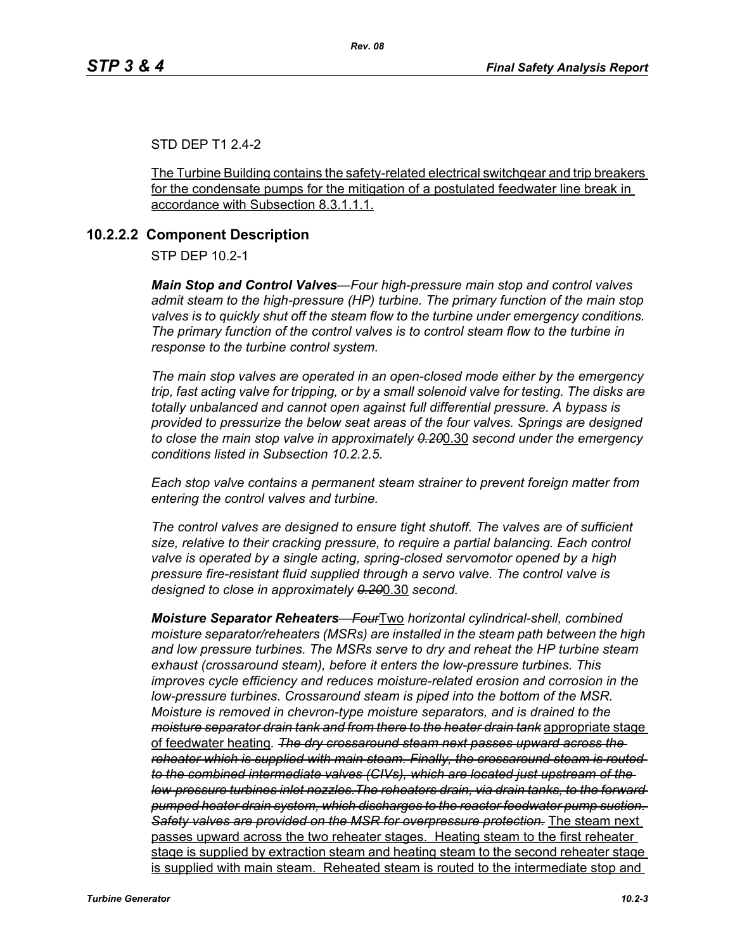#### STD DEP T1 2.4-2

The Turbine Building contains the safety-related electrical switchgear and trip breakers for the condensate pumps for the mitigation of a postulated feedwater line break in accordance with Subsection 8.3.1.1.1.

# **10.2.2.2 Component Description**

STP DEP 10.2-1

*Main Stop and Control Valves—Four high-pressure main stop and control valves admit steam to the high-pressure (HP) turbine. The primary function of the main stop valves is to quickly shut off the steam flow to the turbine under emergency conditions. The primary function of the control valves is to control steam flow to the turbine in response to the turbine control system.*

*The main stop valves are operated in an open-closed mode either by the emergency trip, fast acting valve for tripping, or by a small solenoid valve for testing. The disks are totally unbalanced and cannot open against full differential pressure. A bypass is provided to pressurize the below seat areas of the four valves. Springs are designed to close the main stop valve in approximately 0.20*0.30 *second under the emergency conditions listed in Subsection 10.2.2.5.*

*Each stop valve contains a permanent steam strainer to prevent foreign matter from entering the control valves and turbine.*

*The control valves are designed to ensure tight shutoff. The valves are of sufficient size, relative to their cracking pressure, to require a partial balancing. Each control valve is operated by a single acting, spring-closed servomotor opened by a high pressure fire-resistant fluid supplied through a servo valve. The control valve is designed to close in approximately 0.20*0.30 *second.*

*Moisture Separator Reheaters—Four*Two *horizontal cylindrical-shell, combined moisture separator/reheaters (MSRs) are installed in the steam path between the high and low pressure turbines. The MSRs serve to dry and reheat the HP turbine steam exhaust (crossaround steam), before it enters the low-pressure turbines. This improves cycle efficiency and reduces moisture-related erosion and corrosion in the low-pressure turbines. Crossaround steam is piped into the bottom of the MSR. Moisture is removed in chevron-type moisture separators, and is drained to the moisture separator drain tank and from there to the heater drain tank* appropriate stage of feedwater heating*. The dry crossaround steam next passes upward across the reheater which is supplied with main steam. Finally, the crossaround steam is routed to the combined intermediate valves (CIVs), which are located just upstream of the low-pressure turbines inlet nozzles.The reheaters drain, via drain tanks, to the forward pumped heater drain system, which discharges to the reactor feedwater pump suction. Safety valves are provided on the MSR for overpressure protection.* The steam next passes upward across the two reheater stages. Heating steam to the first reheater stage is supplied by extraction steam and heating steam to the second reheater stage is supplied with main steam. Reheated steam is routed to the intermediate stop and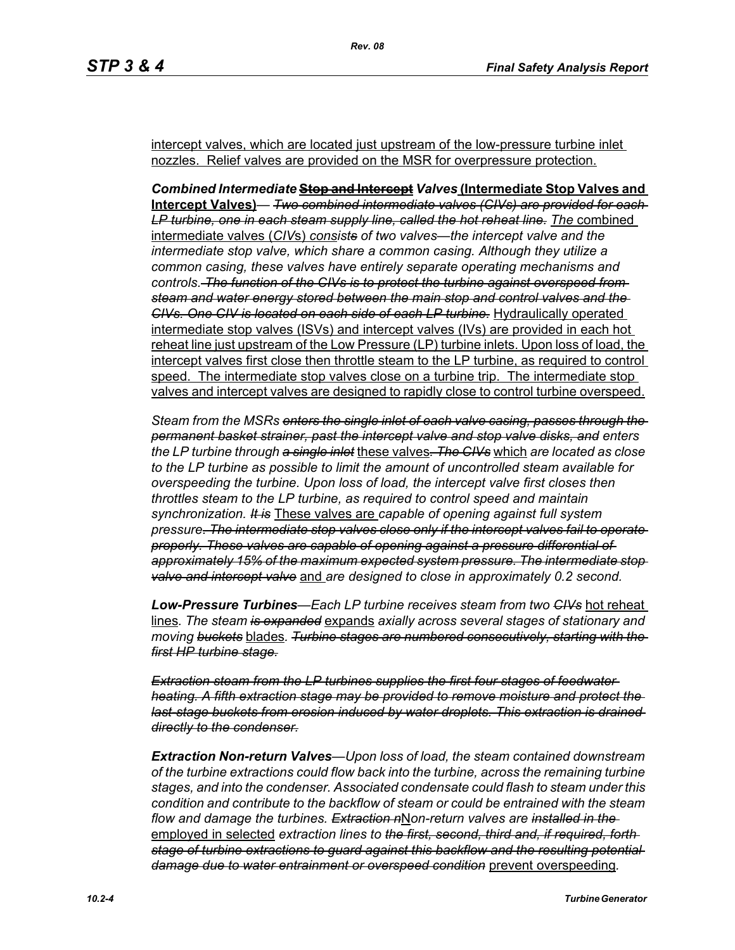intercept valves, which are located just upstream of the low-pressure turbine inlet nozzles. Relief valves are provided on the MSR for overpressure protection.

*Combined Intermediate* **Stop and Intercept** *Valves* **(Intermediate Stop Valves and Intercept Valves)***— Two combined intermediate valves (CIVs) are provided for each*  LP turbine, one in each steam supply line, called the hot reheat line. The combined intermediate valves (*CIV*s) *consists of two valves—the intercept valve and the intermediate stop valve, which share a common casing. Although they utilize a common casing, these valves have entirely separate operating mechanisms and controls. The function of the CIVs is to protect the turbine against overspeed from steam and water energy stored between the main stop and control valves and the CIVs. One CIV is located on each side of each LP turbine.* Hydraulically operated intermediate stop valves (ISVs) and intercept valves (IVs) are provided in each hot reheat line just upstream of the Low Pressure (LP) turbine inlets. Upon loss of load, the intercept valves first close then throttle steam to the LP turbine, as required to control speed. The intermediate stop valves close on a turbine trip. The intermediate stop valves and intercept valves are designed to rapidly close to control turbine overspeed.

*Steam from the MSRs enters the single inlet of each valve casing, passes through the permanent basket strainer, past the intercept valve and stop valve disks, and enters the LP turbine through a single inlet* these valves*. The CIVs* which *are located as close to the LP turbine as possible to limit the amount of uncontrolled steam available for overspeeding the turbine. Upon loss of load, the intercept valve first closes then throttles steam to the LP turbine, as required to control speed and maintain synchronization. It is* These valves are *capable of opening against full system pressure. The intermediate stop valves close only if the intercept valves fail to operate properly. These valves are capable of opening against a pressure differential of approximately 15% of the maximum expected system pressure. The intermediate stop valve and intercept valve* and *are designed to close in approximately 0.2 second.* 

*Low-Pressure Turbines—Each LP turbine receives steam from two CIVs* hot reheat lines*. The steam is expanded* expands *axially across several stages of stationary and moving buckets* blades*. Turbine stages are numbered consecutively, starting with the first HP turbine stage.*

*Extraction steam from the LP turbines supplies the first four stages of feedwater heating. A fifth extraction stage may be provided to remove moisture and protect the last-stage buckets from erosion induced by water droplets. This extraction is drained directly to the condenser.*

*Extraction Non-return Valves—Upon loss of load, the steam contained downstream of the turbine extractions could flow back into the turbine, across the remaining turbine stages, and into the condenser. Associated condensate could flash to steam under this condition and contribute to the backflow of steam or could be entrained with the steam flow and damage the turbines. Extraction n*N*on-return valves are installed in the*  employed in selected *extraction lines to the first, second, third and, if required, forth stage of turbine extractions to guard against this backflow and the resulting potential damage due to water entrainment or overspeed condition* prevent overspeeding*.*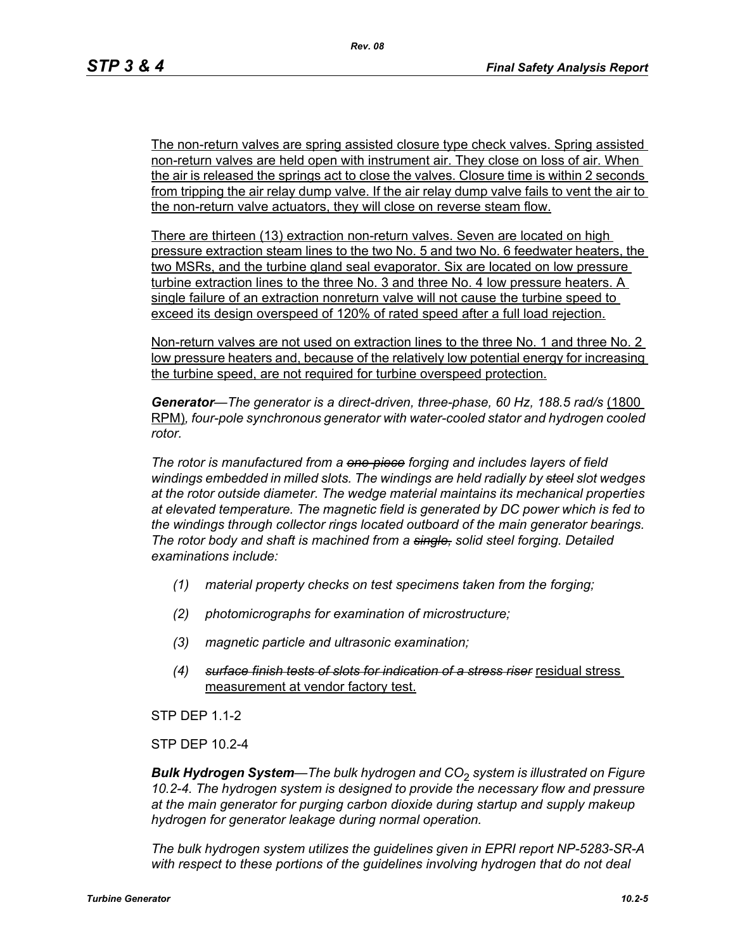The non-return valves are spring assisted closure type check valves. Spring assisted non-return valves are held open with instrument air. They close on loss of air. When the air is released the springs act to close the valves. Closure time is within 2 seconds from tripping the air relay dump valve. If the air relay dump valve fails to vent the air to the non-return valve actuators, they will close on reverse steam flow.

There are thirteen (13) extraction non-return valves. Seven are located on high pressure extraction steam lines to the two No. 5 and two No. 6 feedwater heaters, the two MSRs, and the turbine gland seal evaporator. Six are located on low pressure turbine extraction lines to the three No. 3 and three No. 4 low pressure heaters. A single failure of an extraction nonreturn valve will not cause the turbine speed to exceed its design overspeed of 120% of rated speed after a full load rejection.

Non-return valves are not used on extraction lines to the three No. 1 and three No. 2 low pressure heaters and, because of the relatively low potential energy for increasing the turbine speed, are not required for turbine overspeed protection.

Generator—The generator is a direct-driven, three-phase, 60 Hz, 188.5 rad/s (1800 RPM)*, four-pole synchronous generator with water-cooled stator and hydrogen cooled rotor.*

*The rotor is manufactured from a one-piece forging and includes layers of field windings embedded in milled slots. The windings are held radially by steel slot wedges at the rotor outside diameter. The wedge material maintains its mechanical properties at elevated temperature. The magnetic field is generated by DC power which is fed to the windings through collector rings located outboard of the main generator bearings. The rotor body and shaft is machined from a single, solid steel forging. Detailed examinations include:* 

- *(1) material property checks on test specimens taken from the forging;*
- *(2) photomicrographs for examination of microstructure;*
- *(3) magnetic particle and ultrasonic examination;*
- *(4) surface finish tests of slots for indication of a stress riser* residual stress measurement at vendor factory test.

STP DEP 1.1-2

STP DEP 10.2-4

*Bulk Hydrogen System—The bulk hydrogen and CO*2 *system is illustrated on Figure 10.2-4. The hydrogen system is designed to provide the necessary flow and pressure at the main generator for purging carbon dioxide during startup and supply makeup hydrogen for generator leakage during normal operation.*

*The bulk hydrogen system utilizes the guidelines given in EPRI report NP-5283-SR-A*  with respect to these portions of the guidelines involving hydrogen that do not deal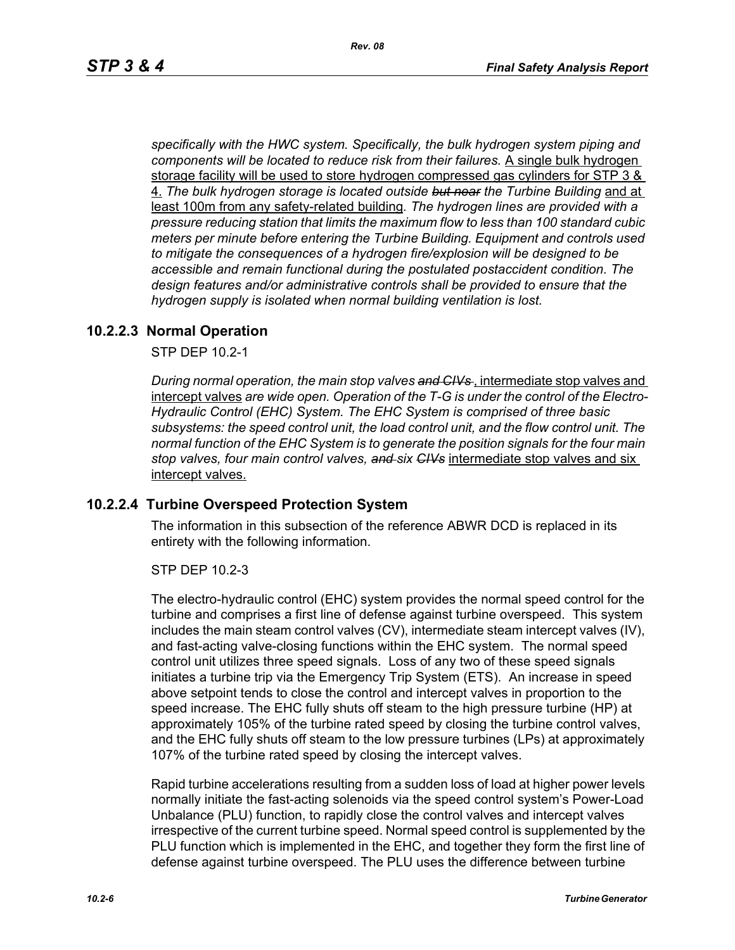*specifically with the HWC system. Specifically, the bulk hydrogen system piping and components will be located to reduce risk from their failures.* A single bulk hydrogen storage facility will be used to store hydrogen compressed gas cylinders for STP 3 & 4. *The bulk hydrogen storage is located outside but near the Turbine Building* and at least 100m from any safety-related building*. The hydrogen lines are provided with a pressure reducing station that limits the maximum flow to less than 100 standard cubic meters per minute before entering the Turbine Building. Equipment and controls used to mitigate the consequences of a hydrogen fire/explosion will be designed to be accessible and remain functional during the postulated postaccident condition. The design features and/or administrative controls shall be provided to ensure that the hydrogen supply is isolated when normal building ventilation is lost.*

#### **10.2.2.3 Normal Operation**

STP DEP 10.2-1

*During normal operation, the main stop valves and CIVs* , intermediate stop valves and intercept valves *are wide open. Operation of the T-G is under the control of the Electro-Hydraulic Control (EHC) System. The EHC System is comprised of three basic subsystems: the speed control unit, the load control unit, and the flow control unit. The normal function of the EHC System is to generate the position signals for the four main stop valves, four main control valves, and six CIVs* intermediate stop valves and six intercept valves.

#### **10.2.2.4 Turbine Overspeed Protection System**

The information in this subsection of the reference ABWR DCD is replaced in its entirety with the following information.

STP DEP 10.2-3

The electro-hydraulic control (EHC) system provides the normal speed control for the turbine and comprises a first line of defense against turbine overspeed. This system includes the main steam control valves (CV), intermediate steam intercept valves (IV), and fast-acting valve-closing functions within the EHC system. The normal speed control unit utilizes three speed signals. Loss of any two of these speed signals initiates a turbine trip via the Emergency Trip System (ETS). An increase in speed above setpoint tends to close the control and intercept valves in proportion to the speed increase. The EHC fully shuts off steam to the high pressure turbine (HP) at approximately 105% of the turbine rated speed by closing the turbine control valves, and the EHC fully shuts off steam to the low pressure turbines (LPs) at approximately 107% of the turbine rated speed by closing the intercept valves.

Rapid turbine accelerations resulting from a sudden loss of load at higher power levels normally initiate the fast-acting solenoids via the speed control system's Power-Load Unbalance (PLU) function, to rapidly close the control valves and intercept valves irrespective of the current turbine speed. Normal speed control is supplemented by the PLU function which is implemented in the EHC, and together they form the first line of defense against turbine overspeed. The PLU uses the difference between turbine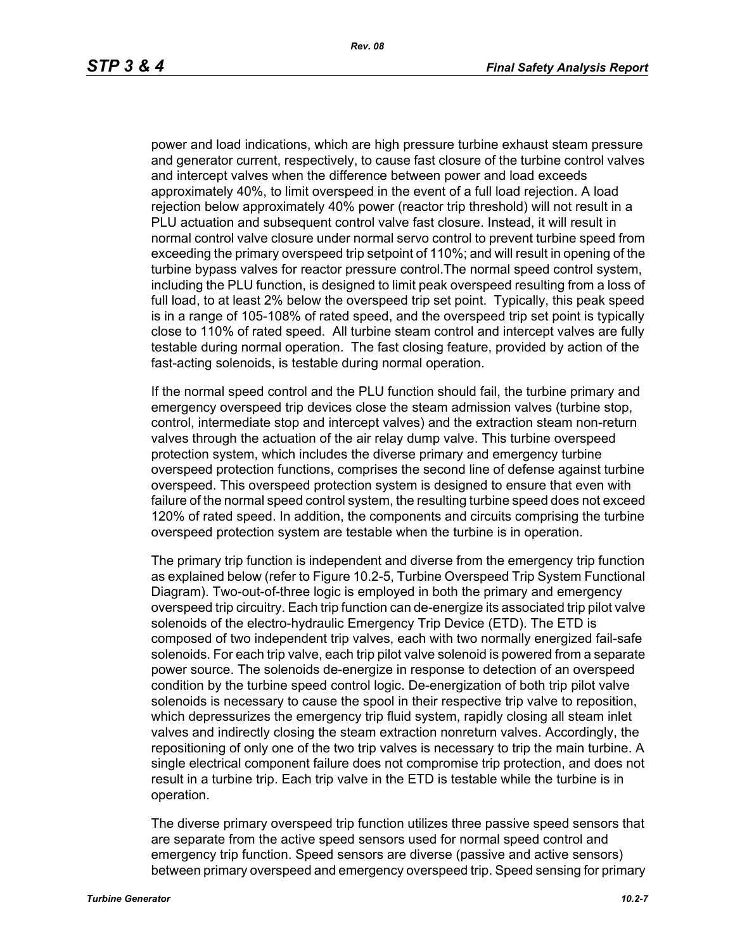power and load indications, which are high pressure turbine exhaust steam pressure and generator current, respectively, to cause fast closure of the turbine control valves and intercept valves when the difference between power and load exceeds approximately 40%, to limit overspeed in the event of a full load rejection. A load rejection below approximately 40% power (reactor trip threshold) will not result in a PLU actuation and subsequent control valve fast closure. Instead, it will result in normal control valve closure under normal servo control to prevent turbine speed from exceeding the primary overspeed trip setpoint of 110%; and will result in opening of the turbine bypass valves for reactor pressure control.The normal speed control system, including the PLU function, is designed to limit peak overspeed resulting from a loss of full load, to at least 2% below the overspeed trip set point. Typically, this peak speed is in a range of 105-108% of rated speed, and the overspeed trip set point is typically close to 110% of rated speed. All turbine steam control and intercept valves are fully testable during normal operation. The fast closing feature, provided by action of the fast-acting solenoids, is testable during normal operation.

If the normal speed control and the PLU function should fail, the turbine primary and emergency overspeed trip devices close the steam admission valves (turbine stop, control, intermediate stop and intercept valves) and the extraction steam non-return valves through the actuation of the air relay dump valve. This turbine overspeed protection system, which includes the diverse primary and emergency turbine overspeed protection functions, comprises the second line of defense against turbine overspeed. This overspeed protection system is designed to ensure that even with failure of the normal speed control system, the resulting turbine speed does not exceed 120% of rated speed. In addition, the components and circuits comprising the turbine overspeed protection system are testable when the turbine is in operation.

The primary trip function is independent and diverse from the emergency trip function as explained below (refer to Figure 10.2-5, Turbine Overspeed Trip System Functional Diagram). Two-out-of-three logic is employed in both the primary and emergency overspeed trip circuitry. Each trip function can de-energize its associated trip pilot valve solenoids of the electro-hydraulic Emergency Trip Device (ETD). The ETD is composed of two independent trip valves, each with two normally energized fail-safe solenoids. For each trip valve, each trip pilot valve solenoid is powered from a separate power source. The solenoids de-energize in response to detection of an overspeed condition by the turbine speed control logic. De-energization of both trip pilot valve solenoids is necessary to cause the spool in their respective trip valve to reposition, which depressurizes the emergency trip fluid system, rapidly closing all steam inlet valves and indirectly closing the steam extraction nonreturn valves. Accordingly, the repositioning of only one of the two trip valves is necessary to trip the main turbine. A single electrical component failure does not compromise trip protection, and does not result in a turbine trip. Each trip valve in the ETD is testable while the turbine is in operation.

The diverse primary overspeed trip function utilizes three passive speed sensors that are separate from the active speed sensors used for normal speed control and emergency trip function. Speed sensors are diverse (passive and active sensors) between primary overspeed and emergency overspeed trip. Speed sensing for primary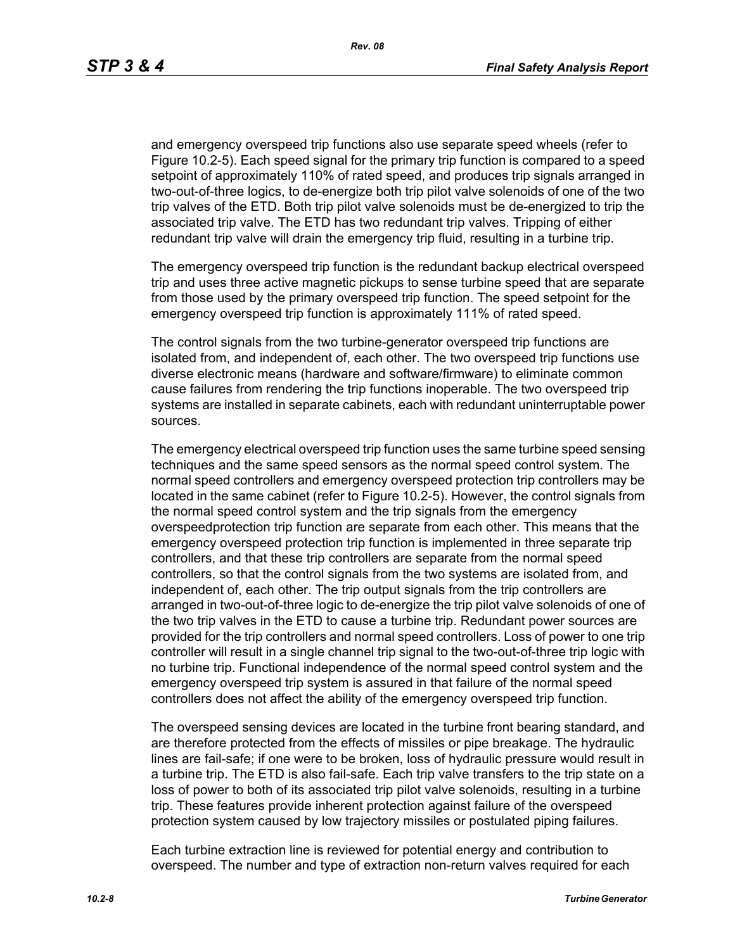and emergency overspeed trip functions also use separate speed wheels (refer to Figure 10.2-5). Each speed signal for the primary trip function is compared to a speed setpoint of approximately 110% of rated speed, and produces trip signals arranged in two-out-of-three logics, to de-energize both trip pilot valve solenoids of one of the two trip valves of the ETD. Both trip pilot valve solenoids must be de-energized to trip the associated trip valve. The ETD has two redundant trip valves. Tripping of either redundant trip valve will drain the emergency trip fluid, resulting in a turbine trip.

The emergency overspeed trip function is the redundant backup electrical overspeed trip and uses three active magnetic pickups to sense turbine speed that are separate from those used by the primary overspeed trip function. The speed setpoint for the emergency overspeed trip function is approximately 111% of rated speed.

The control signals from the two turbine-generator overspeed trip functions are isolated from, and independent of, each other. The two overspeed trip functions use diverse electronic means (hardware and software/firmware) to eliminate common cause failures from rendering the trip functions inoperable. The two overspeed trip systems are installed in separate cabinets, each with redundant uninterruptable power sources.

The emergency electrical overspeed trip function uses the same turbine speed sensing techniques and the same speed sensors as the normal speed control system. The normal speed controllers and emergency overspeed protection trip controllers may be located in the same cabinet (refer to Figure 10.2-5). However, the control signals from the normal speed control system and the trip signals from the emergency overspeedprotection trip function are separate from each other. This means that the emergency overspeed protection trip function is implemented in three separate trip controllers, and that these trip controllers are separate from the normal speed controllers, so that the control signals from the two systems are isolated from, and independent of, each other. The trip output signals from the trip controllers are arranged in two-out-of-three logic to de-energize the trip pilot valve solenoids of one of the two trip valves in the ETD to cause a turbine trip. Redundant power sources are provided for the trip controllers and normal speed controllers. Loss of power to one trip controller will result in a single channel trip signal to the two-out-of-three trip logic with no turbine trip. Functional independence of the normal speed control system and the emergency overspeed trip system is assured in that failure of the normal speed controllers does not affect the ability of the emergency overspeed trip function.

The overspeed sensing devices are located in the turbine front bearing standard, and are therefore protected from the effects of missiles or pipe breakage. The hydraulic lines are fail-safe; if one were to be broken, loss of hydraulic pressure would result in a turbine trip. The ETD is also fail-safe. Each trip valve transfers to the trip state on a loss of power to both of its associated trip pilot valve solenoids, resulting in a turbine trip. These features provide inherent protection against failure of the overspeed protection system caused by low trajectory missiles or postulated piping failures.

Each turbine extraction line is reviewed for potential energy and contribution to overspeed. The number and type of extraction non-return valves required for each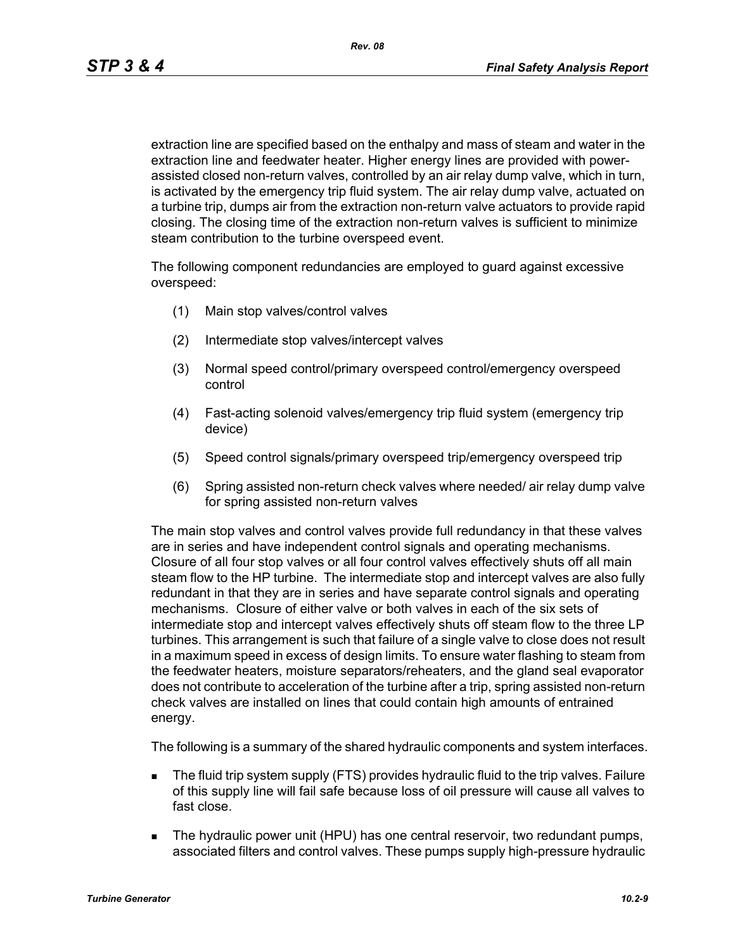extraction line are specified based on the enthalpy and mass of steam and water in the extraction line and feedwater heater. Higher energy lines are provided with powerassisted closed non-return valves, controlled by an air relay dump valve, which in turn, is activated by the emergency trip fluid system. The air relay dump valve, actuated on a turbine trip, dumps air from the extraction non-return valve actuators to provide rapid closing. The closing time of the extraction non-return valves is sufficient to minimize steam contribution to the turbine overspeed event.

The following component redundancies are employed to guard against excessive overspeed:

- (1) Main stop valves/control valves
- (2) Intermediate stop valves/intercept valves
- (3) Normal speed control/primary overspeed control/emergency overspeed control
- (4) Fast-acting solenoid valves/emergency trip fluid system (emergency trip device)
- (5) Speed control signals/primary overspeed trip/emergency overspeed trip
- (6) Spring assisted non-return check valves where needed/ air relay dump valve for spring assisted non-return valves

The main stop valves and control valves provide full redundancy in that these valves are in series and have independent control signals and operating mechanisms. Closure of all four stop valves or all four control valves effectively shuts off all main steam flow to the HP turbine. The intermediate stop and intercept valves are also fully redundant in that they are in series and have separate control signals and operating mechanisms. Closure of either valve or both valves in each of the six sets of intermediate stop and intercept valves effectively shuts off steam flow to the three LP turbines. This arrangement is such that failure of a single valve to close does not result in a maximum speed in excess of design limits. To ensure water flashing to steam from the feedwater heaters, moisture separators/reheaters, and the gland seal evaporator does not contribute to acceleration of the turbine after a trip, spring assisted non-return check valves are installed on lines that could contain high amounts of entrained energy.

The following is a summary of the shared hydraulic components and system interfaces.

- The fluid trip system supply (FTS) provides hydraulic fluid to the trip valves. Failure of this supply line will fail safe because loss of oil pressure will cause all valves to fast close.
- **The hydraulic power unit (HPU) has one central reservoir, two redundant pumps,** associated filters and control valves. These pumps supply high-pressure hydraulic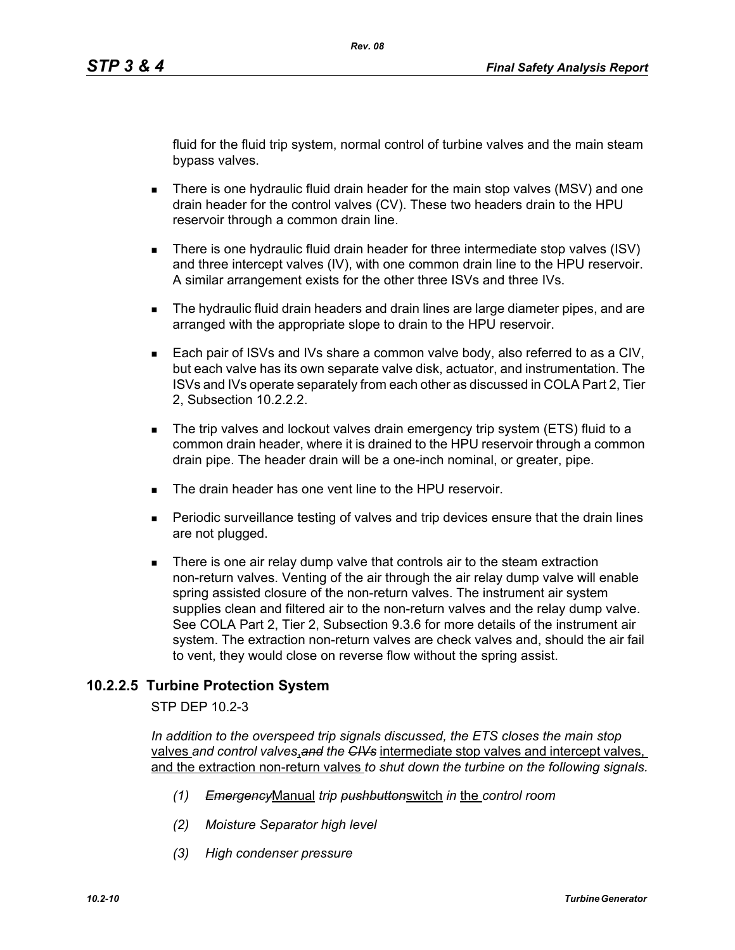fluid for the fluid trip system, normal control of turbine valves and the main steam bypass valves.

- There is one hydraulic fluid drain header for the main stop valves (MSV) and one drain header for the control valves (CV). These two headers drain to the HPU reservoir through a common drain line.
- There is one hydraulic fluid drain header for three intermediate stop valves (ISV) and three intercept valves (IV), with one common drain line to the HPU reservoir. A similar arrangement exists for the other three ISVs and three IVs.
- **The hydraulic fluid drain headers and drain lines are large diameter pipes, and are** arranged with the appropriate slope to drain to the HPU reservoir.
- Each pair of ISVs and IVs share a common valve body, also referred to as a CIV, but each valve has its own separate valve disk, actuator, and instrumentation. The ISVs and IVs operate separately from each other as discussed in COLA Part 2, Tier 2, Subsection 10.2.2.2.
- The trip valves and lockout valves drain emergency trip system (ETS) fluid to a common drain header, where it is drained to the HPU reservoir through a common drain pipe. The header drain will be a one-inch nominal, or greater, pipe.
- The drain header has one vent line to the HPU reservoir
- Periodic surveillance testing of valves and trip devices ensure that the drain lines are not plugged.
- There is one air relay dump valve that controls air to the steam extraction non-return valves. Venting of the air through the air relay dump valve will enable spring assisted closure of the non-return valves. The instrument air system supplies clean and filtered air to the non-return valves and the relay dump valve. See COLA Part 2, Tier 2, Subsection 9.3.6 for more details of the instrument air system. The extraction non-return valves are check valves and, should the air fail to vent, they would close on reverse flow without the spring assist.

# **10.2.2.5 Turbine Protection System**

STP DEP 10.2-3

*In addition to the overspeed trip signals discussed, the ETS closes the main stop*  valves *and control valves*,*and the CIVs* intermediate stop valves and intercept valves, and the extraction non-return valves *to shut down the turbine on the following signals.*

- *(1) Emergency*Manual *trip pushbutton*switch *in* the *control room*
- *(2) Moisture Separator high level*
- *(3) High condenser pressure*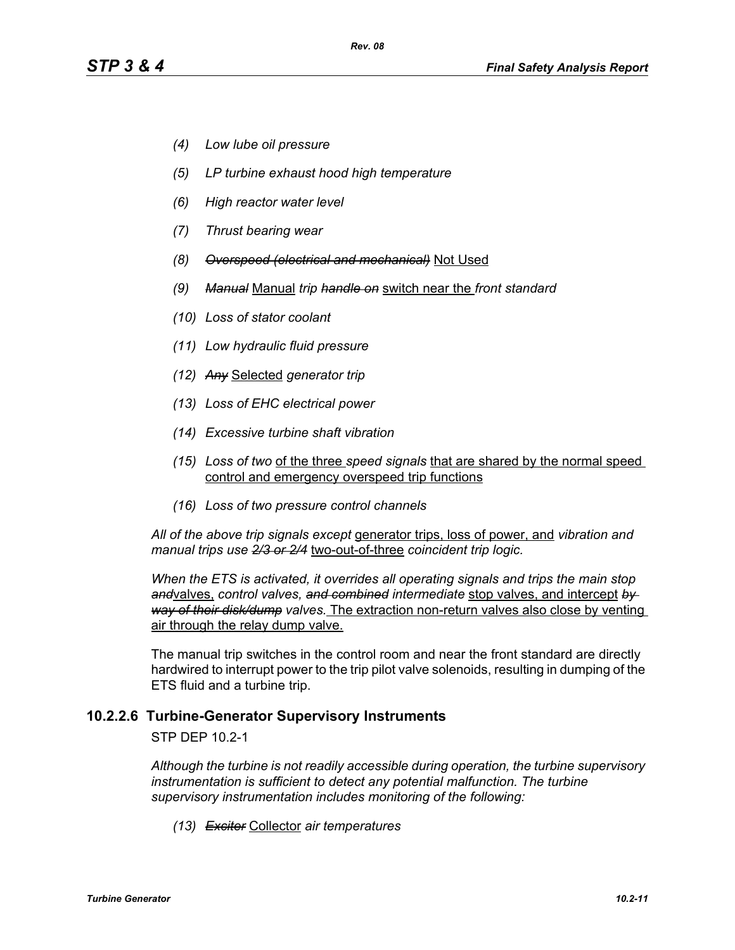- *(4) Low lube oil pressure*
- *(5) LP turbine exhaust hood high temperature*
- *(6) High reactor water level*
- *(7) Thrust bearing wear*
- *(8) Overspeed (electrical and mechanical)* Not Used
- *(9) Manual* Manual *trip handle on* switch near the *front standard*
- *(10) Loss of stator coolant*
- *(11) Low hydraulic fluid pressure*
- *(12) Any* Selected *generator trip*
- *(13) Loss of EHC electrical power*
- *(14) Excessive turbine shaft vibration*
- *(15) Loss of two* of the three *speed signals* that are shared by the normal speed control and emergency overspeed trip functions
- *(16) Loss of two pressure control channels*

*All of the above trip signals except* generator trips, loss of power, and *vibration and manual trips use 2/3 or 2/4* two-out-of-three *coincident trip logic.*

*When the ETS is activated, it overrides all operating signals and trips the main stop and*valves, *control valves, and combined intermediate* stop valves, and intercept *by way of their disk/dump valves.* The extraction non-return valves also close by venting air through the relay dump valve.

The manual trip switches in the control room and near the front standard are directly hardwired to interrupt power to the trip pilot valve solenoids, resulting in dumping of the ETS fluid and a turbine trip.

#### **10.2.2.6 Turbine-Generator Supervisory Instruments**

STP DEP 10.2-1

*Although the turbine is not readily accessible during operation, the turbine supervisory instrumentation is sufficient to detect any potential malfunction. The turbine supervisory instrumentation includes monitoring of the following:*

*(13) Exciter* Collector *air temperatures*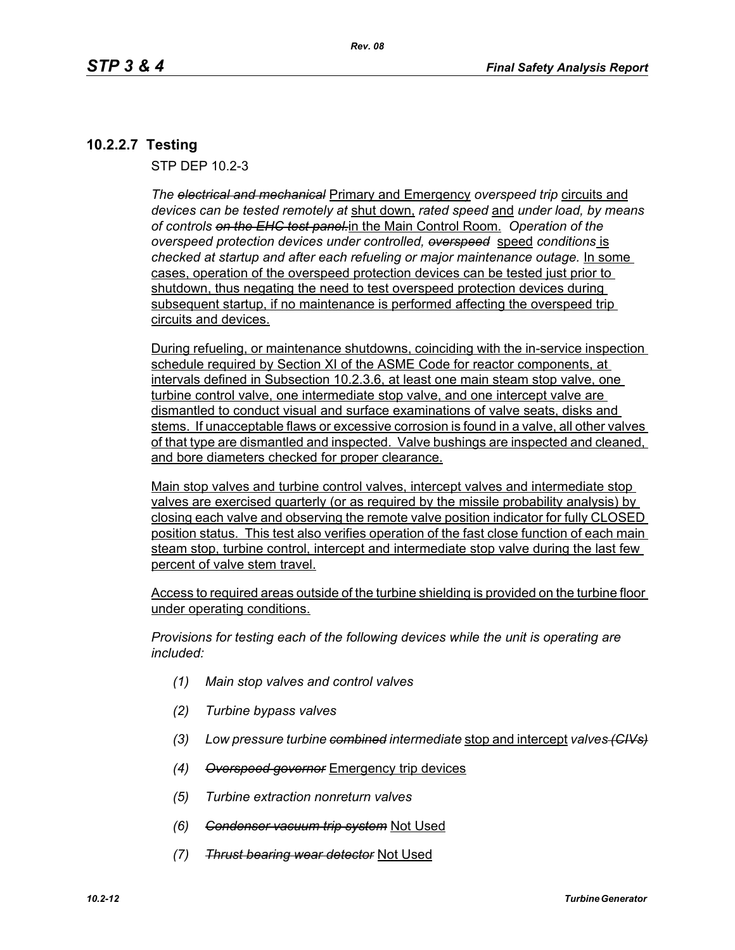# **10.2.2.7 Testing**

STP DEP 10.2-3

*The electrical and mechanical* Primary and Emergency *overspeed trip* circuits and *devices can be tested remotely at* shut down, *rated speed* and *under load, by means of controls on the EHC test panel.*in the Main Control Room. *Operation of the overspeed protection devices under controlled, overspeed* speed *conditions* is checked at startup and after each refueling or major maintenance outage. **In some** cases, operation of the overspeed protection devices can be tested just prior to shutdown, thus negating the need to test overspeed protection devices during subsequent startup, if no maintenance is performed affecting the overspeed trip circuits and devices.

During refueling, or maintenance shutdowns, coinciding with the in-service inspection schedule required by Section XI of the ASME Code for reactor components, at intervals defined in Subsection 10.2.3.6, at least one main steam stop valve, one turbine control valve, one intermediate stop valve, and one intercept valve are dismantled to conduct visual and surface examinations of valve seats, disks and stems. If unacceptable flaws or excessive corrosion is found in a valve, all other valves of that type are dismantled and inspected. Valve bushings are inspected and cleaned, and bore diameters checked for proper clearance.

Main stop valves and turbine control valves, intercept valves and intermediate stop valves are exercised quarterly (or as required by the missile probability analysis) by closing each valve and observing the remote valve position indicator for fully CLOSED position status. This test also verifies operation of the fast close function of each main steam stop, turbine control, intercept and intermediate stop valve during the last few percent of valve stem travel.

Access to required areas outside of the turbine shielding is provided on the turbine floor under operating conditions.

*Provisions for testing each of the following devices while the unit is operating are included:*

- *(1) Main stop valves and control valves*
- *(2) Turbine bypass valves*
- *(3) Low pressure turbine combined intermediate* stop and intercept *valves (CIVs)*
- *(4) Overspeed governor* Emergency trip devices
- *(5) Turbine extraction nonreturn valves*
- *(6) Condenser vacuum trip system* Not Used
- *(7) Thrust bearing wear detector* Not Used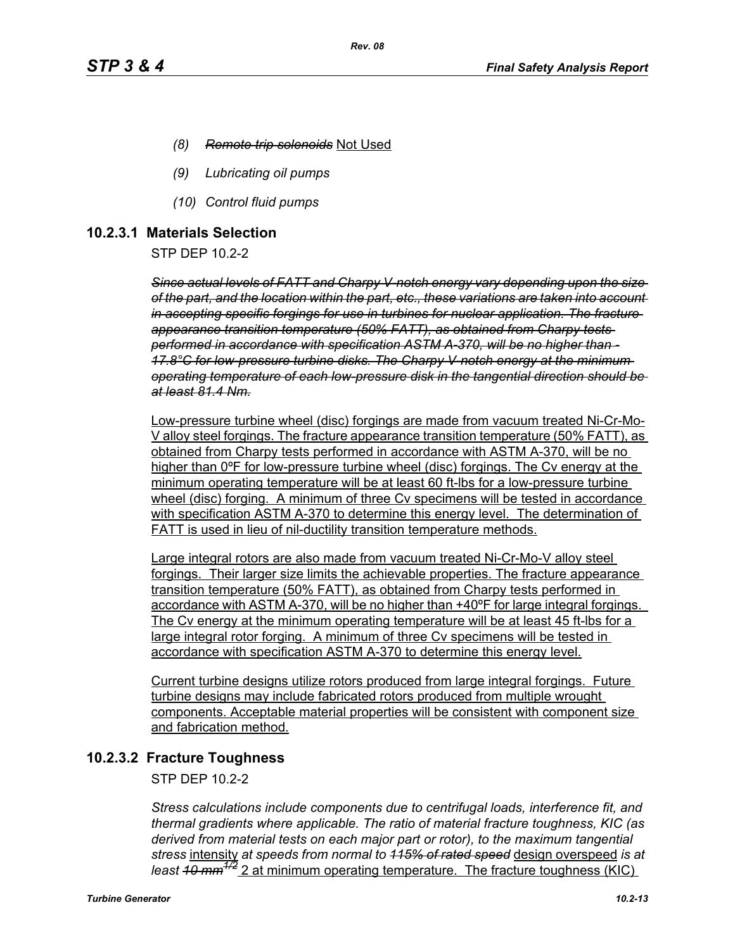- *(8) Remote trip solenoids* Not Used
- *(9) Lubricating oil pumps*
- *(10) Control fluid pumps*

#### **10.2.3.1 Materials Selection**

STP DEP 10.2-2

*Since actual levels of FATT and Charpy V-notch energy vary depending upon the size of the part, and the location within the part, etc., these variations are taken into account in accepting specific forgings for use in turbines for nuclear application. The fracture appearance transition temperature (50% FATT), as obtained from Charpy tests performed in accordance with specification ASTM A-370, will be no higher than - 17.8°C for low-pressure turbine disks. The Charpy V-notch energy at the minimum operating temperature of each low-pressure disk in the tangential direction should be at least 81.4 Nm.*

Low-pressure turbine wheel (disc) forgings are made from vacuum treated Ni-Cr-Mo-V alloy steel forgings. The fracture appearance transition temperature (50% FATT), as obtained from Charpy tests performed in accordance with ASTM A-370, will be no higher than 0ºF for low-pressure turbine wheel (disc) forgings. The Cv energy at the minimum operating temperature will be at least 60 ft-lbs for a low-pressure turbine wheel (disc) forging. A minimum of three Cv specimens will be tested in accordance with specification ASTM A-370 to determine this energy level. The determination of FATT is used in lieu of nil-ductility transition temperature methods.

Large integral rotors are also made from vacuum treated Ni-Cr-Mo-V alloy steel forgings. Their larger size limits the achievable properties. The fracture appearance transition temperature (50% FATT), as obtained from Charpy tests performed in accordance with ASTM A-370, will be no higher than +40ºF for large integral forgings. The Cv energy at the minimum operating temperature will be at least 45 ft-lbs for a large integral rotor forging. A minimum of three Cv specimens will be tested in accordance with specification ASTM A-370 to determine this energy level.

Current turbine designs utilize rotors produced from large integral forgings. Future turbine designs may include fabricated rotors produced from multiple wrought components. Acceptable material properties will be consistent with component size and fabrication method.

# **10.2.3.2 Fracture Toughness**

STP DEP 10.2-2

*Stress calculations include components due to centrifugal loads, interference fit, and thermal gradients where applicable. The ratio of material fracture toughness, KIC (as derived from material tests on each major part or rotor), to the maximum tangential stress* intensity *at speeds from normal to 115% of rated speed* design overspeed *is at least 10 mm1/2* 2 at minimum operating temperature. The fracture toughness (KIC)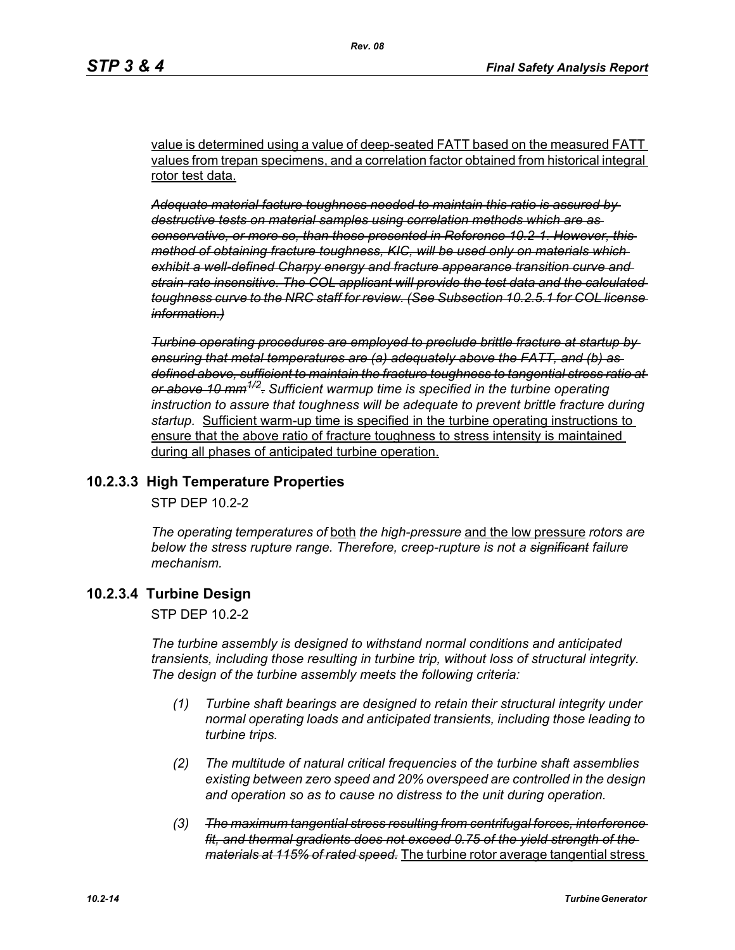value is determined using a value of deep-seated FATT based on the measured FATT values from trepan specimens, and a correlation factor obtained from historical integral rotor test data.

*Adequate material facture toughness needed to maintain this ratio is assured by destructive tests on material samples using correlation methods which are as conservative, or more so, than those presented in Reference 10.2-1. However, this method of obtaining fracture toughness, KIC, will be used only on materials which exhibit a well-defined Charpy energy and fracture appearance transition curve and strain-rate insensitive. The COL applicant will provide the test data and the calculated toughness curve to the NRC staff for review. (See Subsection 10.2.5.1 for COL license information.)*

*Turbine operating procedures are employed to preclude brittle fracture at startup by ensuring that metal temperatures are (a) adequately above the FATT, and (b) as defined above, sufficient to maintain the fracture toughness to tangential stress ratio at or above 10 mm1/2. Sufficient warmup time is specified in the turbine operating instruction to assure that toughness will be adequate to prevent brittle fracture during startup.* Sufficient warm-up time is specified in the turbine operating instructions to ensure that the above ratio of fracture toughness to stress intensity is maintained during all phases of anticipated turbine operation.

# **10.2.3.3 High Temperature Properties**

STP DEP 10.2-2

*The operating temperatures of* both *the high-pressure* and the low pressure *rotors are below the stress rupture range. Therefore, creep-rupture is not a significant failure mechanism.* 

# **10.2.3.4 Turbine Design**

STP DEP 10.2-2

*The turbine assembly is designed to withstand normal conditions and anticipated transients, including those resulting in turbine trip, without loss of structural integrity. The design of the turbine assembly meets the following criteria:* 

- *(1) Turbine shaft bearings are designed to retain their structural integrity under normal operating loads and anticipated transients, including those leading to turbine trips.*
- *(2) The multitude of natural critical frequencies of the turbine shaft assemblies existing between zero speed and 20% overspeed are controlled in the design and operation so as to cause no distress to the unit during operation.*
- *(3) The maximum tangential stress resulting from centrifugal forces, interference fit, and thermal gradients does not exceed 0.75 of the yield strength of the materials at 115% of rated speed.* The turbine rotor average tangential stress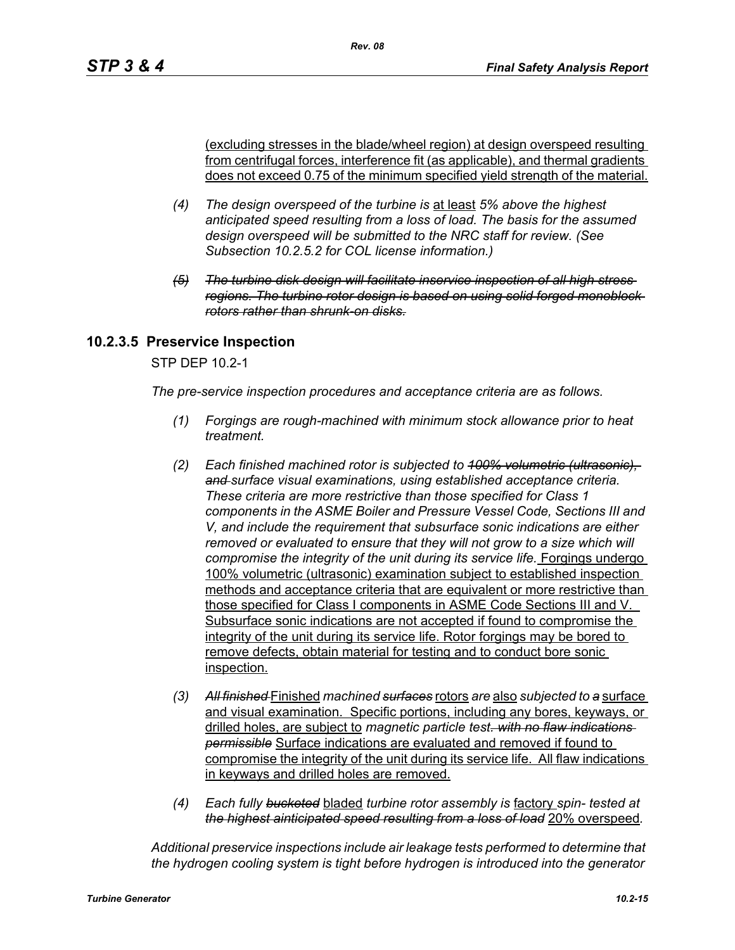(excluding stresses in the blade/wheel region) at design overspeed resulting from centrifugal forces, interference fit (as applicable), and thermal gradients does not exceed 0.75 of the minimum specified yield strength of the material.

- *(4) The design overspeed of the turbine is* at least *5% above the highest anticipated speed resulting from a loss of load. The basis for the assumed design overspeed will be submitted to the NRC staff for review. (See Subsection 10.2.5.2 for COL license information.)*
- *(5) The turbine disk design will facilitate inservice inspection of all high stress regions. The turbine rotor design is based on using solid forged monoblock rotors rather than shrunk-on disks.*

# **10.2.3.5 Preservice Inspection**

STP DEP 10.2-1

*The pre-service inspection procedures and acceptance criteria are as follows.*

- *(1) Forgings are rough-machined with minimum stock allowance prior to heat treatment.*
- *(2) Each finished machined rotor is subjected to 100% volumetric (ultrasonic), and surface visual examinations, using established acceptance criteria. These criteria are more restrictive than those specified for Class 1 components in the ASME Boiler and Pressure Vessel Code, Sections III and V, and include the requirement that subsurface sonic indications are either removed or evaluated to ensure that they will not grow to a size which will compromise the integrity of the unit during its service life.* Forgings undergo 100% volumetric (ultrasonic) examination subject to established inspection methods and acceptance criteria that are equivalent or more restrictive than those specified for Class I components in ASME Code Sections III and V. Subsurface sonic indications are not accepted if found to compromise the integrity of the unit during its service life. Rotor forgings may be bored to remove defects, obtain material for testing and to conduct bore sonic inspection.
- *(3) All finished* Finished *machined surfaces* rotors *are* also *subjected to a* surface and visual examination. Specific portions, including any bores, keyways, or drilled holes, are subject to *magnetic particle test. with no flaw indications permissible* Surface indications are evaluated and removed if found to compromise the integrity of the unit during its service life. All flaw indications in keyways and drilled holes are removed.
- *(4) Each fully bucketed* bladed *turbine rotor assembly is* factory *spin- tested at the highest ainticipated speed resulting from a loss of load* 20% overspeed*.*

*Additional preservice inspections include air leakage tests performed to determine that the hydrogen cooling system is tight before hydrogen is introduced into the generator*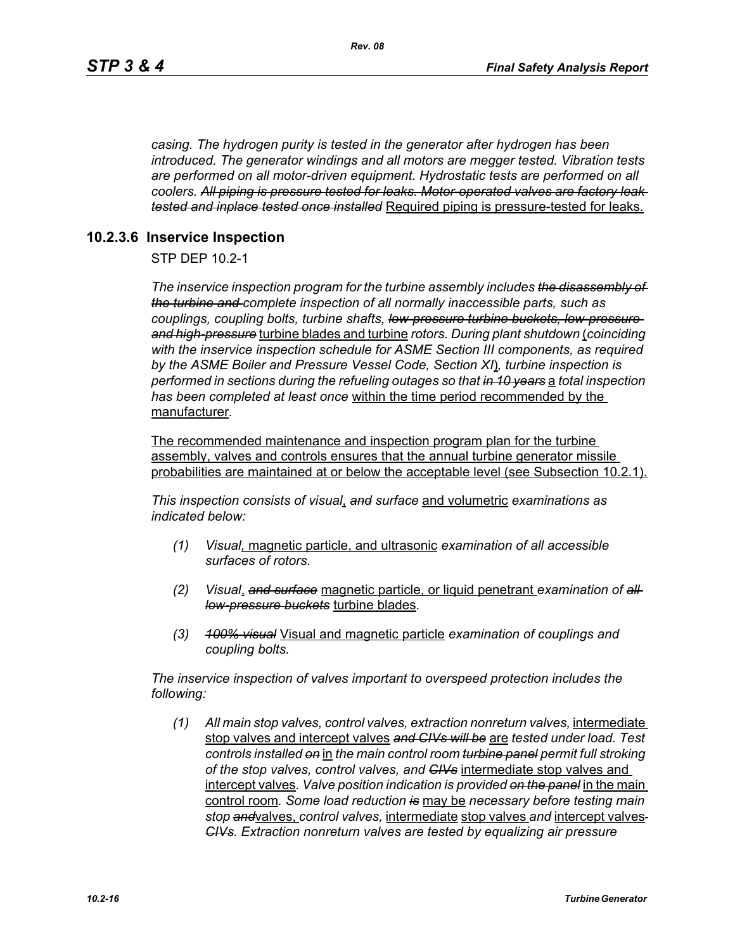*casing. The hydrogen purity is tested in the generator after hydrogen has been introduced. The generator windings and all motors are megger tested. Vibration tests are performed on all motor-driven equipment. Hydrostatic tests are performed on all coolers. All piping is pressure tested for leaks. Motor-operated valves are factory leak tested and inplace tested once installed* Required piping is pressure-tested for leaks.

# **10.2.3.6 Inservice Inspection**

STP DEP 10.2-1

*The inservice inspection program for the turbine assembly includes the disassembly of the turbine and complete inspection of all normally inaccessible parts, such as couplings, coupling bolts, turbine shafts, low-pressure turbine buckets, low-pressure and high-pressure* turbine blades and turbine *rotors. During plant shutdown* (*coinciding with the inservice inspection schedule for ASME Section III components, as required by the ASME Boiler and Pressure Vessel Code, Section XI*)*, turbine inspection is performed in sections during the refueling outages so that in 10 years* a *total inspection has been completed at least once* within the time period recommended by the manufacturer*.* 

The recommended maintenance and inspection program plan for the turbine assembly, valves and controls ensures that the annual turbine generator missile probabilities are maintained at or below the acceptable level (see Subsection 10.2.1).

*This inspection consists of visual*, *and surface* and volumetric *examinations as indicated below:*

- *(1) Visual,* magnetic particle, and ultrasonic *examination of all accessible surfaces of rotors.*
- *(2) Visual*, *and surface* magnetic particle, or liquid penetrant *examination of all low-pressure buckets* turbine blades*.*
- *(3) 100% visual* Visual and magnetic particle *examination of couplings and coupling bolts.*

*The inservice inspection of valves important to overspeed protection includes the following:*

*(1) All main stop valves, control valves, extraction nonreturn valves,* intermediate stop valves and intercept valves *and CIVs will be* are *tested under load. Test controls installed on* in *the main control room turbine panel permit full stroking of the stop valves, control valves, and CIVs* intermediate stop valves and intercept valves*. Valve position indication is provided on the panel* in the main control room*. Some load reduction is* may be *necessary before testing main stop and*valves, *control valves,* intermediate stop valves *and* intercept valves *CIVs. Extraction nonreturn valves are tested by equalizing air pressure*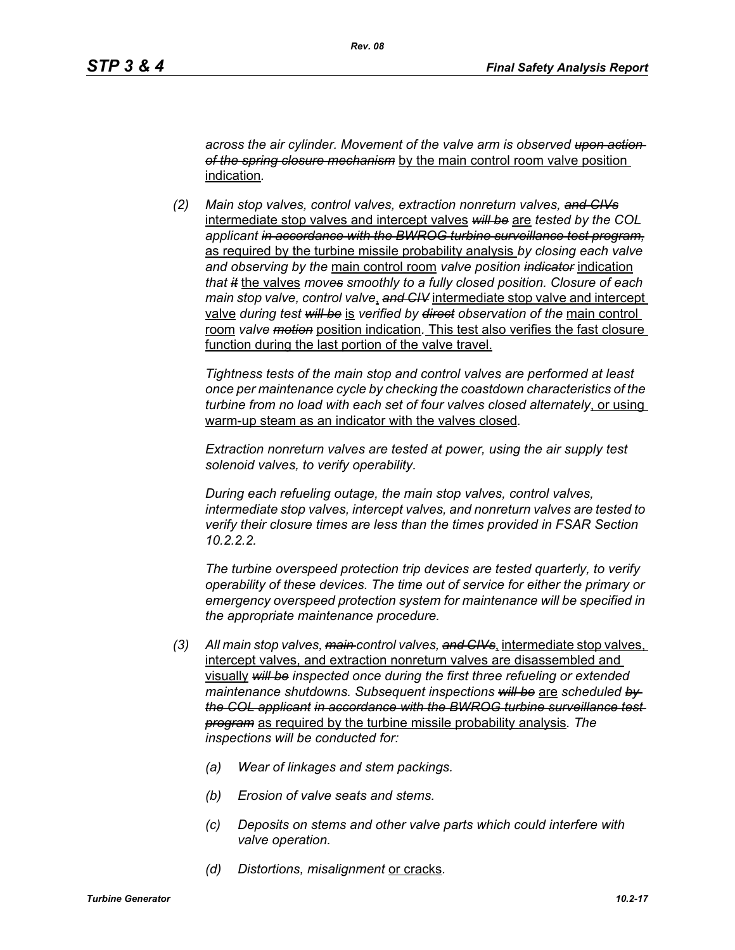*across the air cylinder. Movement of the valve arm is observed upon action of the spring closure mechanism* by the main control room valve position indication*.*

*(2) Main stop valves, control valves, extraction nonreturn valves, and CIVs* intermediate stop valves and intercept valves *will be* are *tested by the COL applicant in accordance with the BWROG turbine surveillance test program,* as required by the turbine missile probability analysis *by closing each valve and observing by the* main control room *valve position indicator* indication *that it* the valves *moves smoothly to a fully closed position. Closure of each main stop valve, control valve*, *and CIV* intermediate stop valve and intercept valve *during test will be* is *verified by direct observation of the* main control room *valve motion* position indication*.* This test also verifies the fast closure function during the last portion of the valve travel.

*Tightness tests of the main stop and control valves are performed at least once per maintenance cycle by checking the coastdown characteristics of the turbine from no load with each set of four valves closed alternately*, or using warm-up steam as an indicator with the valves closed*.* 

*Extraction nonreturn valves are tested at power, using the air supply test solenoid valves, to verify operability.*

*During each refueling outage, the main stop valves, control valves, intermediate stop valves, intercept valves, and nonreturn valves are tested to verify their closure times are less than the times provided in FSAR Section 10.2.2.2.*

*The turbine overspeed protection trip devices are tested quarterly, to verify operability of these devices. The time out of service for either the primary or emergency overspeed protection system for maintenance will be specified in the appropriate maintenance procedure.*

- *(3) All main stop valves, main control valves, and CIVs*, intermediate stop valves, intercept valves, and extraction nonreturn valves are disassembled and visually *will be inspected once during the first three refueling or extended maintenance shutdowns. Subsequent inspections will be* are *scheduled by the COL applicant in accordance with the BWROG turbine surveillance test program* as required by the turbine missile probability analysis*. The inspections will be conducted for:* 
	- *(a) Wear of linkages and stem packings.*
	- *(b) Erosion of valve seats and stems.*
	- *(c) Deposits on stems and other valve parts which could interfere with valve operation.*
	- *(d) Distortions, misalignment* or cracks*.*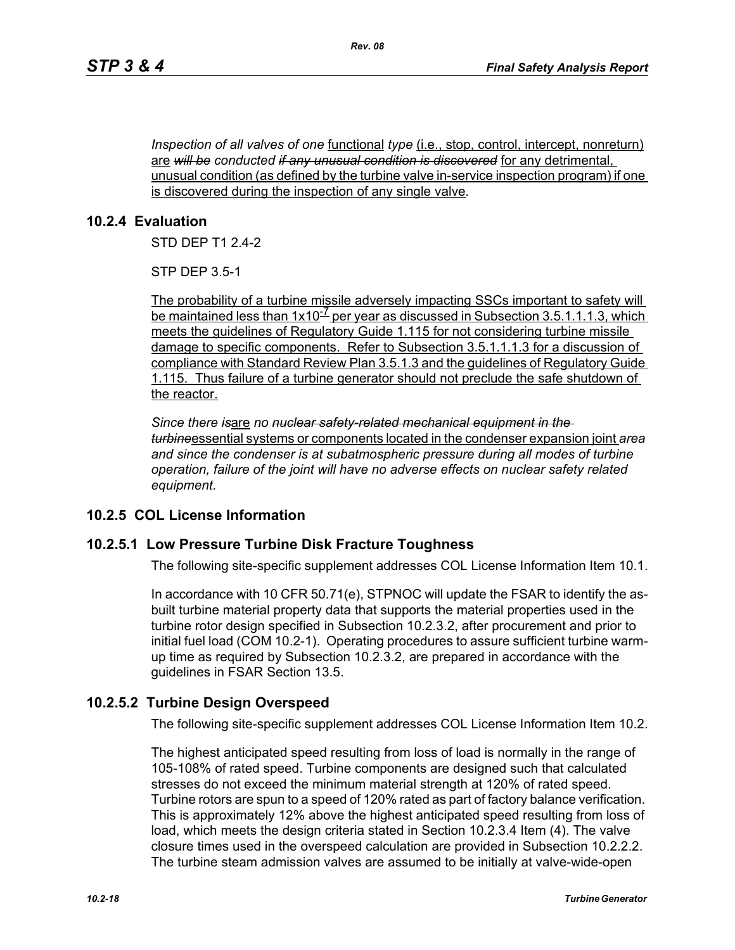*Inspection of all valves of one* <u>functional *type* (i.e., stop, control, intercept, nonreturn)</u> are *will be conducted if any unusual condition is discovered* for any detrimental, unusual condition (as defined by the turbine valve in-service inspection program) if one is discovered during the inspection of any single valve*.*

# **10.2.4 Evaluation**

STD DEP T1 2.4-2

STP DEP 3.5-1

The probability of a turbine missile adversely impacting SSCs important to safety will be maintained less than  $1x10^{-7}$  per year as discussed in Subsection 3.5.1.1.1.3, which meets the guidelines of Regulatory Guide 1.115 for not considering turbine missile damage to specific components. Refer to Subsection 3.5.1.1.1.3 for a discussion of compliance with Standard Review Plan 3.5.1.3 and the guidelines of Regulatory Guide 1.115. Thus failure of a turbine generator should not preclude the safe shutdown of the reactor.

*Since there is*are *no nuclear safety-related mechanical equipment in the turbine*essential systems or components located in the condenser expansion joint *area and since the condenser is at subatmospheric pressure during all modes of turbine operation, failure of the joint will have no adverse effects on nuclear safety related equipment.*

# **10.2.5 COL License Information**

# **10.2.5.1 Low Pressure Turbine Disk Fracture Toughness**

The following site-specific supplement addresses COL License Information Item 10.1.

In accordance with 10 CFR 50.71(e), STPNOC will update the FSAR to identify the asbuilt turbine material property data that supports the material properties used in the turbine rotor design specified in Subsection 10.2.3.2, after procurement and prior to initial fuel load (COM 10.2-1). Operating procedures to assure sufficient turbine warmup time as required by Subsection 10.2.3.2, are prepared in accordance with the guidelines in FSAR Section 13.5.

# **10.2.5.2 Turbine Design Overspeed**

The following site-specific supplement addresses COL License Information Item 10.2.

The highest anticipated speed resulting from loss of load is normally in the range of 105-108% of rated speed. Turbine components are designed such that calculated stresses do not exceed the minimum material strength at 120% of rated speed. Turbine rotors are spun to a speed of 120% rated as part of factory balance verification. This is approximately 12% above the highest anticipated speed resulting from loss of load, which meets the design criteria stated in Section 10.2.3.4 Item (4). The valve closure times used in the overspeed calculation are provided in Subsection 10.2.2.2. The turbine steam admission valves are assumed to be initially at valve-wide-open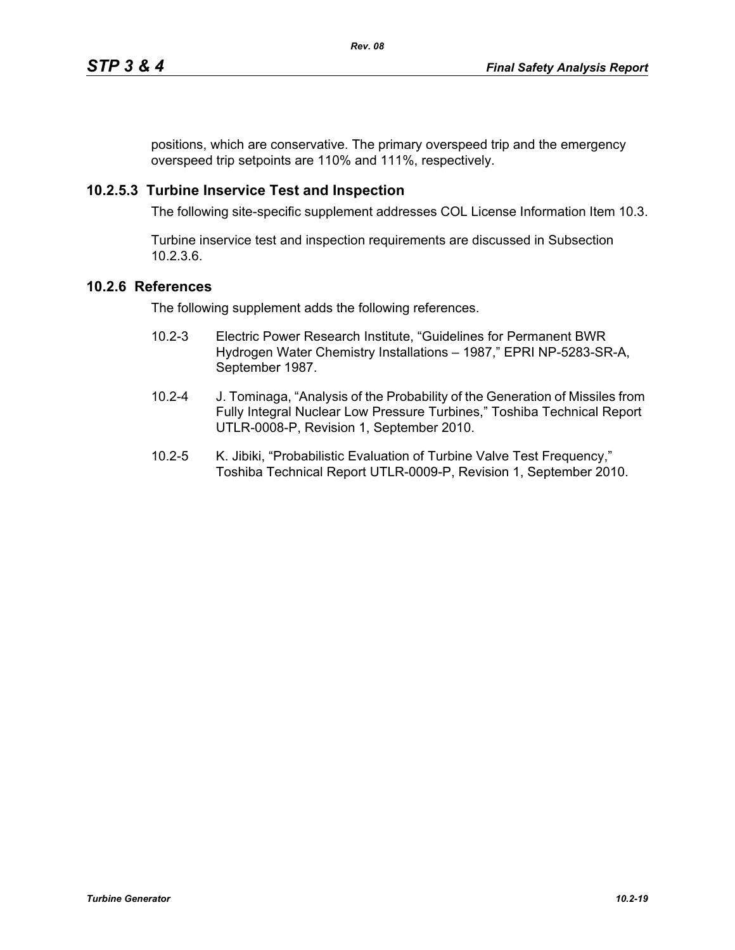positions, which are conservative. The primary overspeed trip and the emergency overspeed trip setpoints are 110% and 111%, respectively.

#### **10.2.5.3 Turbine Inservice Test and Inspection**

The following site-specific supplement addresses COL License Information Item 10.3.

Turbine inservice test and inspection requirements are discussed in Subsection 10.2.3.6.

#### **10.2.6 References**

The following supplement adds the following references.

- 10.2-3 Electric Power Research Institute, "Guidelines for Permanent BWR Hydrogen Water Chemistry Installations – 1987," EPRI NP-5283-SR-A, September 1987.
- 10.2-4 J. Tominaga, "Analysis of the Probability of the Generation of Missiles from Fully Integral Nuclear Low Pressure Turbines," Toshiba Technical Report UTLR-0008-P, Revision 1, September 2010.
- 10.2-5 K. Jibiki, "Probabilistic Evaluation of Turbine Valve Test Frequency," Toshiba Technical Report UTLR-0009-P, Revision 1, September 2010.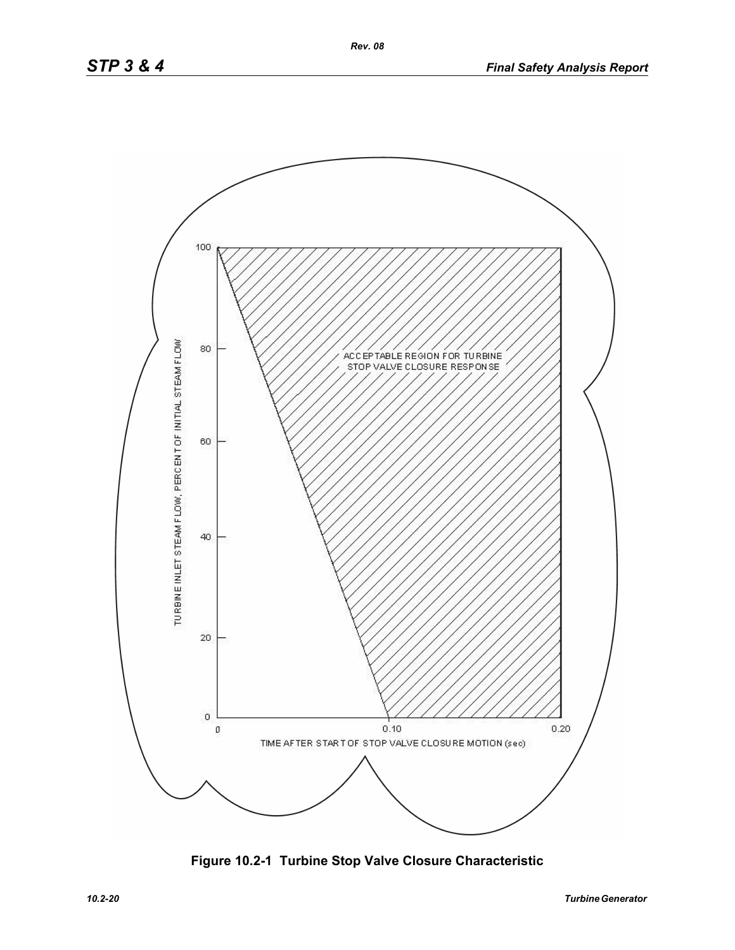

**Figure 10.2-1 Turbine Stop Valve Closure Characteristic**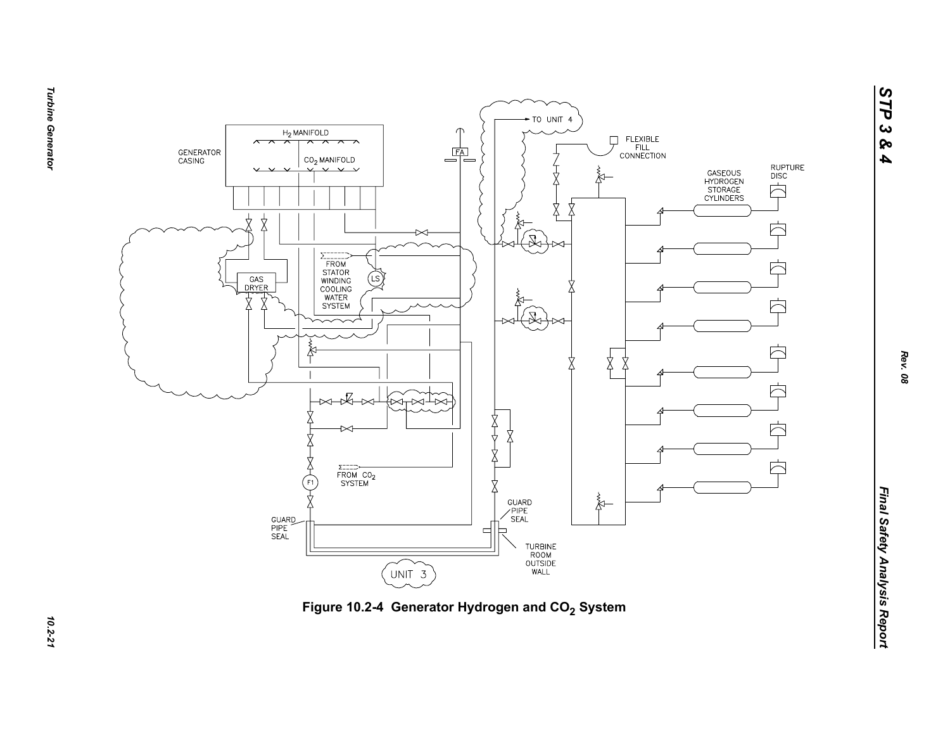



**Turbine Generator** *Turbine Generator 10.2-21*

*STP 3 & 4*